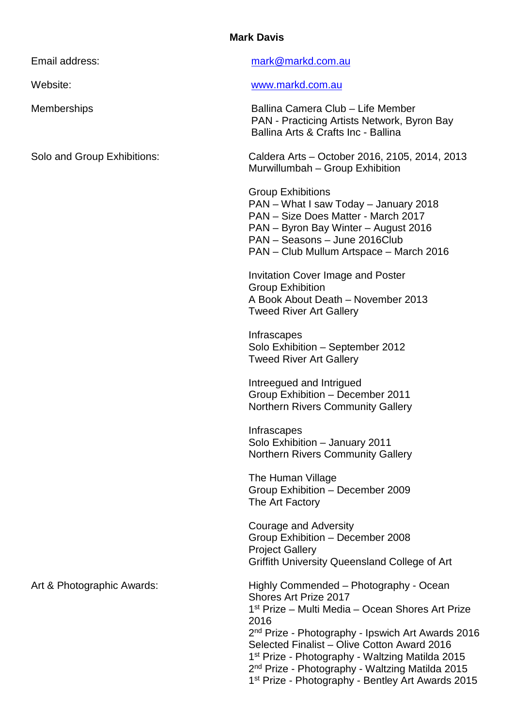## **Mark Davis**

| Email address:              | mark@markd.com.au                                                                                                                                                                                                                                                                                                                                                                                                                                      |
|-----------------------------|--------------------------------------------------------------------------------------------------------------------------------------------------------------------------------------------------------------------------------------------------------------------------------------------------------------------------------------------------------------------------------------------------------------------------------------------------------|
| Website:                    | www.markd.com.au                                                                                                                                                                                                                                                                                                                                                                                                                                       |
| <b>Memberships</b>          | Ballina Camera Club - Life Member<br>PAN - Practicing Artists Network, Byron Bay<br>Ballina Arts & Crafts Inc - Ballina                                                                                                                                                                                                                                                                                                                                |
| Solo and Group Exhibitions: | Caldera Arts - October 2016, 2105, 2014, 2013<br>Murwillumbah - Group Exhibition                                                                                                                                                                                                                                                                                                                                                                       |
|                             | <b>Group Exhibitions</b><br>PAN - What I saw Today - January 2018<br>PAN - Size Does Matter - March 2017<br>PAN - Byron Bay Winter - August 2016<br>PAN - Seasons - June 2016Club<br>PAN – Club Mullum Artspace – March 2016                                                                                                                                                                                                                           |
|                             | <b>Invitation Cover Image and Poster</b><br><b>Group Exhibition</b><br>A Book About Death - November 2013<br><b>Tweed River Art Gallery</b>                                                                                                                                                                                                                                                                                                            |
|                             | <b>Infrascapes</b><br>Solo Exhibition - September 2012<br><b>Tweed River Art Gallery</b>                                                                                                                                                                                                                                                                                                                                                               |
|                             | Intreegued and Intrigued<br>Group Exhibition - December 2011<br><b>Northern Rivers Community Gallery</b>                                                                                                                                                                                                                                                                                                                                               |
|                             | Infrascapes<br>Solo Exhibition - January 2011<br><b>Northern Rivers Community Gallery</b>                                                                                                                                                                                                                                                                                                                                                              |
|                             | The Human Village<br>Group Exhibition - December 2009<br>The Art Factory                                                                                                                                                                                                                                                                                                                                                                               |
|                             | <b>Courage and Adversity</b><br>Group Exhibition - December 2008<br><b>Project Gallery</b><br>Griffith University Queensland College of Art                                                                                                                                                                                                                                                                                                            |
| Art & Photographic Awards:  | Highly Commended - Photography - Ocean<br>Shores Art Prize 2017<br>1 <sup>st</sup> Prize – Multi Media – Ocean Shores Art Prize<br>2016<br>2 <sup>nd</sup> Prize - Photography - Ipswich Art Awards 2016<br>Selected Finalist - Olive Cotton Award 2016<br>1 <sup>st</sup> Prize - Photography - Waltzing Matilda 2015<br>2 <sup>nd</sup> Prize - Photography - Waltzing Matilda 2015<br>1 <sup>st</sup> Prize - Photography - Bentley Art Awards 2015 |